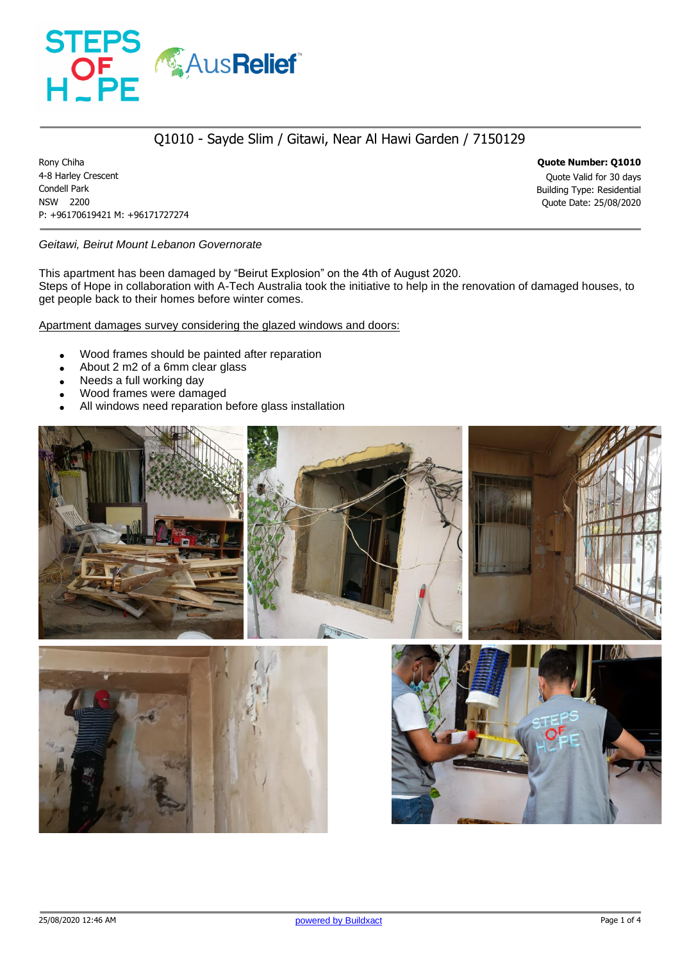

### Q1010 - Sayde Slim / Gitawi, Near Al Hawi Garden / 7150129

Rony Chiha **Quote Number: Q1010** 4-8 Harley Crescent Quote Valid for 30 days Condell Park Building Type: Residential NSW 2200 Quote Date: 25/08/2020 P: +96170619421 M: +96171727274

*Geitawi, Beirut Mount Lebanon Governorate*

This apartment has been damaged by "Beirut Explosion" on the 4th of August 2020. Steps of Hope in collaboration with A-Tech Australia took the initiative to help in the renovation of damaged houses, to get people back to their homes before winter comes.

Apartment damages survey considering the glazed windows and doors:

- Wood frames should be painted after reparation
- About 2 m2 of a 6mm clear glass
- Needs a full working day
- Wood frames were damaged
- All windows need reparation before glass installation

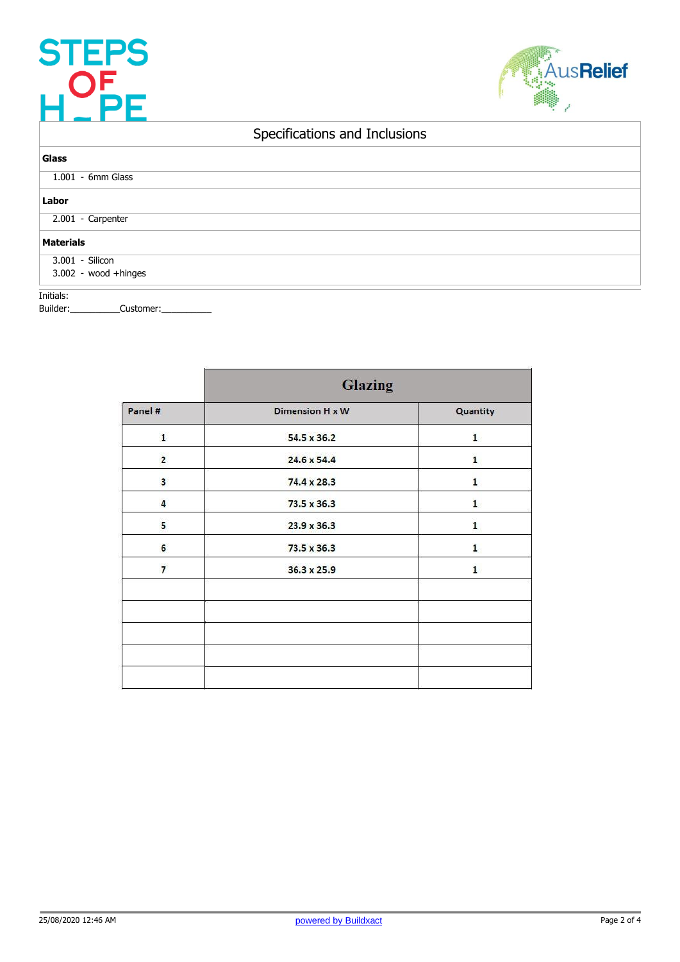## STEPS<br>H\_PE



## Specifications and Inclusions

| Glass                |  |  |  |  |  |
|----------------------|--|--|--|--|--|
| 1.001 - 6mm Glass    |  |  |  |  |  |
| Labor                |  |  |  |  |  |
| 2.001 - Carpenter    |  |  |  |  |  |
| <b>Materials</b>     |  |  |  |  |  |
| 3.001 - Silicon      |  |  |  |  |  |
| 3.002 - wood +hinges |  |  |  |  |  |
|                      |  |  |  |  |  |

Initials:

Builder:\_\_\_\_\_\_\_\_\_\_\_\_Customer:\_\_

|                | <b>Glazing</b>              |              |  |  |
|----------------|-----------------------------|--------------|--|--|
| Panel #        | Dimension H x W             | Quantity     |  |  |
| $\mathbf{1}$   | $\mathbf{1}$<br>54.5 x 36.2 |              |  |  |
| $\overline{2}$ | 24.6 x 54.4                 | $\mathbf{1}$ |  |  |
| 3              | 74.4 x 28.3                 | 1            |  |  |
| 4              | 73.5 x 36.3                 | $\mathbf{1}$ |  |  |
| 5              | 23.9 x 36.3                 | 1            |  |  |
| 6              | 73.5 x 36.3                 | 1            |  |  |
| $\overline{7}$ | 36.3 x 25.9                 | $\mathbf{1}$ |  |  |
|                |                             |              |  |  |
|                |                             |              |  |  |
|                |                             |              |  |  |
|                |                             |              |  |  |
|                |                             |              |  |  |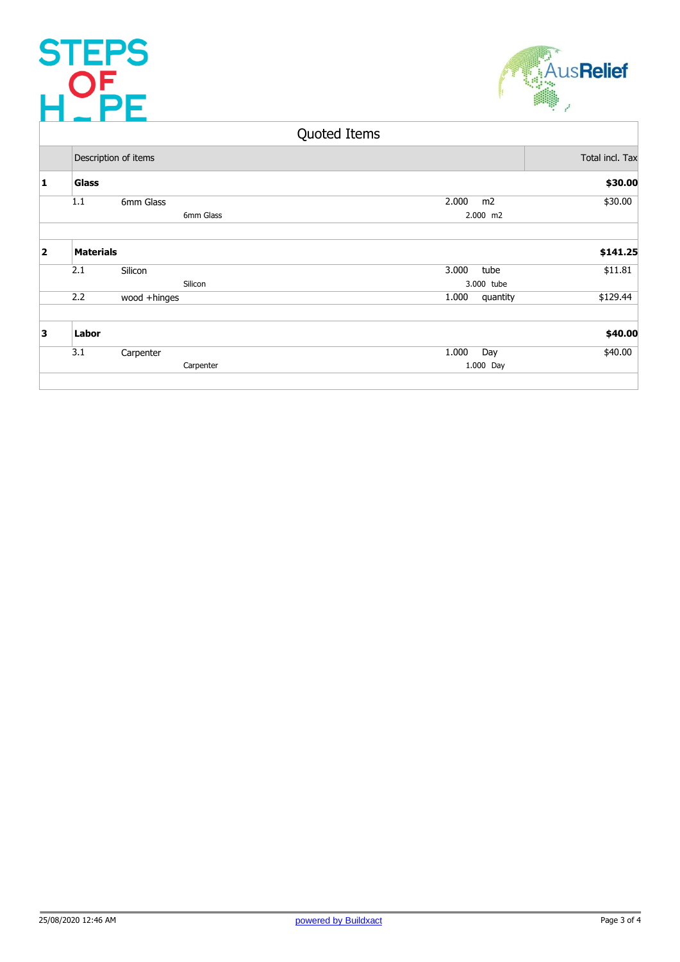# STEPS<br>H\_PE



### Quoted Items

|                         | Description of items |              |           |       | Total incl. Tax |          |
|-------------------------|----------------------|--------------|-----------|-------|-----------------|----------|
| 1                       | <b>Glass</b>         |              |           |       |                 | \$30.00  |
|                         | 1.1                  | 6mm Glass    |           | 2.000 | m <sub>2</sub>  | \$30.00  |
|                         |                      |              | 6mm Glass |       | 2.000 m2        |          |
| $\overline{\mathbf{2}}$ | <b>Materials</b>     |              |           |       |                 | \$141.25 |
|                         | 2.1                  | Silicon      |           | 3.000 | tube            | \$11.81  |
|                         |                      |              | Silicon   |       | 3.000 tube      |          |
|                         | 2.2                  | wood +hinges |           | 1.000 | quantity        | \$129.44 |
| 3                       | Labor                |              |           |       |                 | \$40.00  |
|                         | 3.1                  | Carpenter    |           | 1.000 | Day             | \$40.00  |
|                         |                      |              | Carpenter |       | 1.000 Day       |          |